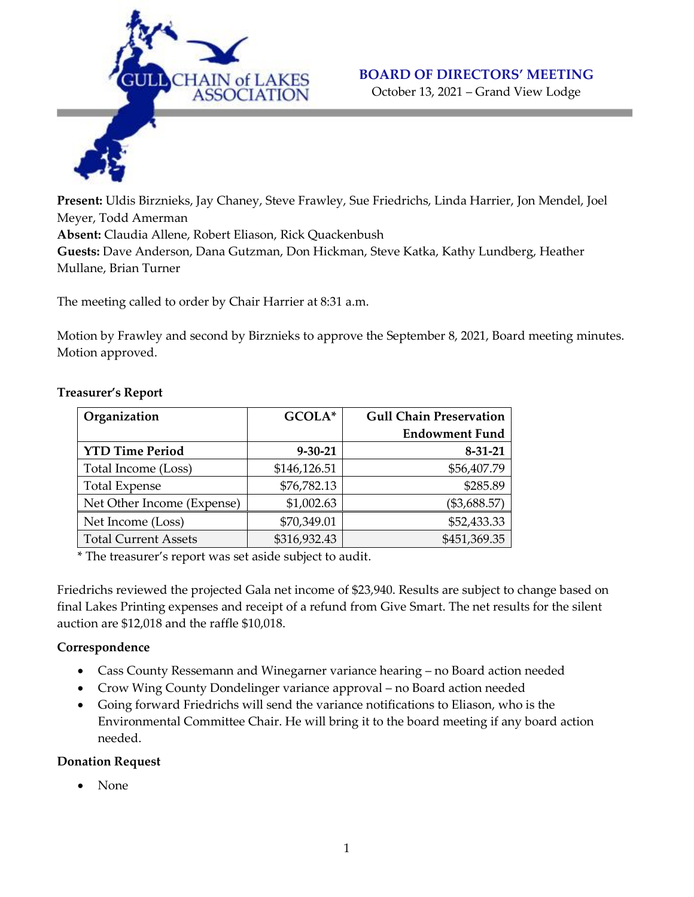

# **BOARD OF DIRECTORS' MEETING**

October 13, 2021 – Grand View Lodge

**Present:** Uldis Birznieks, Jay Chaney, Steve Frawley, Sue Friedrichs, Linda Harrier, Jon Mendel, Joel Meyer, Todd Amerman **Absent:** Claudia Allene, Robert Eliason, Rick Quackenbush **Guests:** Dave Anderson, Dana Gutzman, Don Hickman, Steve Katka, Kathy Lundberg, Heather Mullane, Brian Turner

The meeting called to order by Chair Harrier at 8:31 a.m.

Motion by Frawley and second by Birznieks to approve the September 8, 2021, Board meeting minutes. Motion approved.

| Organization                | GCOLA*        | <b>Gull Chain Preservation</b> |
|-----------------------------|---------------|--------------------------------|
|                             |               | <b>Endowment Fund</b>          |
| <b>YTD Time Period</b>      | $9 - 30 - 21$ | $8 - 31 - 21$                  |
| Total Income (Loss)         | \$146,126.51  | \$56,407.79                    |
| <b>Total Expense</b>        | \$76,782.13   | \$285.89                       |
| Net Other Income (Expense)  | \$1,002.63    | (\$3,688.57)                   |
| Net Income (Loss)           | \$70,349.01   | \$52,433.33                    |
| <b>Total Current Assets</b> | \$316,932.43  | \$451,369.35                   |

## **Treasurer's Report**

\* The treasurer's report was set aside subject to audit.

Friedrichs reviewed the projected Gala net income of \$23,940. Results are subject to change based on final Lakes Printing expenses and receipt of a refund from Give Smart. The net results for the silent auction are \$12,018 and the raffle \$10,018.

# **Correspondence**

- Cass County Ressemann and Winegarner variance hearing no Board action needed
- Crow Wing County Dondelinger variance approval no Board action needed
- Going forward Friedrichs will send the variance notifications to Eliason, who is the Environmental Committee Chair. He will bring it to the board meeting if any board action needed.

### **Donation Request**

• None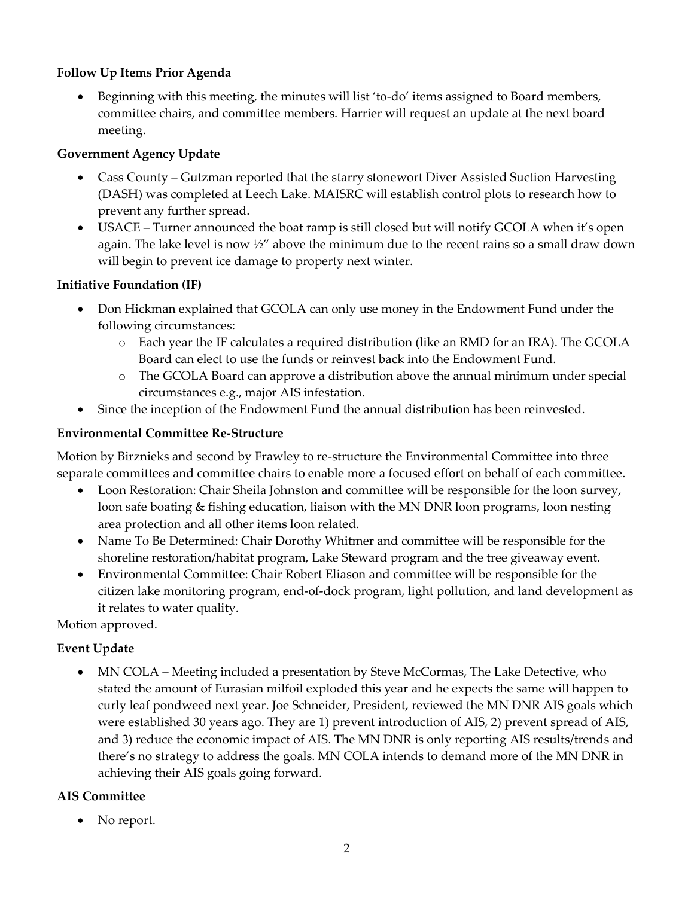# **Follow Up Items Prior Agenda**

• Beginning with this meeting, the minutes will list 'to-do' items assigned to Board members, committee chairs, and committee members. Harrier will request an update at the next board meeting.

# **Government Agency Update**

- Cass County Gutzman reported that the starry stonewort Diver Assisted Suction Harvesting (DASH) was completed at Leech Lake. MAISRC will establish control plots to research how to prevent any further spread.
- USACE Turner announced the boat ramp is still closed but will notify GCOLA when it's open again. The lake level is now  $\frac{1}{2}$  above the minimum due to the recent rains so a small draw down will begin to prevent ice damage to property next winter.

# **Initiative Foundation (IF)**

- Don Hickman explained that GCOLA can only use money in the Endowment Fund under the following circumstances:
	- o Each year the IF calculates a required distribution (like an RMD for an IRA). The GCOLA Board can elect to use the funds or reinvest back into the Endowment Fund.
	- o The GCOLA Board can approve a distribution above the annual minimum under special circumstances e.g., major AIS infestation.
- Since the inception of the Endowment Fund the annual distribution has been reinvested.

# **Environmental Committee Re-Structure**

Motion by Birznieks and second by Frawley to re-structure the Environmental Committee into three separate committees and committee chairs to enable more a focused effort on behalf of each committee.

- Loon Restoration: Chair Sheila Johnston and committee will be responsible for the loon survey, loon safe boating & fishing education, liaison with the MN DNR loon programs, loon nesting area protection and all other items loon related.
- Name To Be Determined: Chair Dorothy Whitmer and committee will be responsible for the shoreline restoration/habitat program, Lake Steward program and the tree giveaway event.
- Environmental Committee: Chair Robert Eliason and committee will be responsible for the citizen lake monitoring program, end-of-dock program, light pollution, and land development as it relates to water quality.

Motion approved.

# **Event Update**

• MN COLA – Meeting included a presentation by Steve McCormas, The Lake Detective, who stated the amount of Eurasian milfoil exploded this year and he expects the same will happen to curly leaf pondweed next year. Joe Schneider, President, reviewed the MN DNR AIS goals which were established 30 years ago. They are 1) prevent introduction of AIS, 2) prevent spread of AIS, and 3) reduce the economic impact of AIS. The MN DNR is only reporting AIS results/trends and there's no strategy to address the goals. MN COLA intends to demand more of the MN DNR in achieving their AIS goals going forward.

# **AIS Committee**

• No report.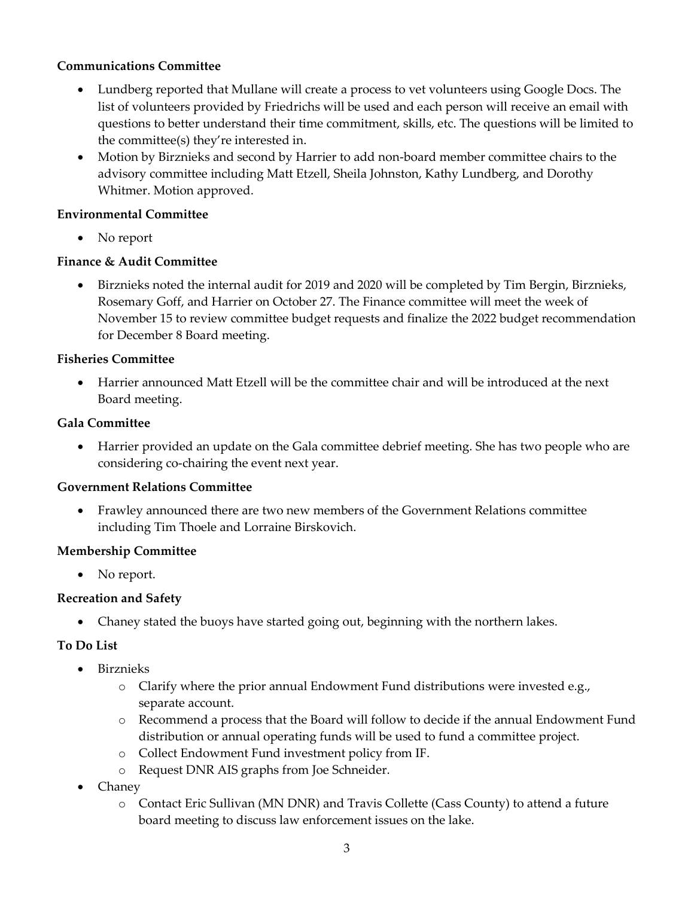## **Communications Committee**

- Lundberg reported that Mullane will create a process to vet volunteers using Google Docs. The list of volunteers provided by Friedrichs will be used and each person will receive an email with questions to better understand their time commitment, skills, etc. The questions will be limited to the committee(s) they're interested in.
- Motion by Birznieks and second by Harrier to add non-board member committee chairs to the advisory committee including Matt Etzell, Sheila Johnston, Kathy Lundberg, and Dorothy Whitmer. Motion approved.

## **Environmental Committee**

• No report

## **Finance & Audit Committee**

• Birznieks noted the internal audit for 2019 and 2020 will be completed by Tim Bergin, Birznieks, Rosemary Goff, and Harrier on October 27. The Finance committee will meet the week of November 15 to review committee budget requests and finalize the 2022 budget recommendation for December 8 Board meeting.

## **Fisheries Committee**

• Harrier announced Matt Etzell will be the committee chair and will be introduced at the next Board meeting.

## **Gala Committee**

• Harrier provided an update on the Gala committee debrief meeting. She has two people who are considering co-chairing the event next year.

### **Government Relations Committee**

• Frawley announced there are two new members of the Government Relations committee including Tim Thoele and Lorraine Birskovich.

# **Membership Committee**

• No report.

# **Recreation and Safety**

• Chaney stated the buoys have started going out, beginning with the northern lakes.

# **To Do List**

- Birznieks
	- o Clarify where the prior annual Endowment Fund distributions were invested e.g., separate account.
	- o Recommend a process that the Board will follow to decide if the annual Endowment Fund distribution or annual operating funds will be used to fund a committee project.
	- o Collect Endowment Fund investment policy from IF.
	- o Request DNR AIS graphs from Joe Schneider.
- Chaney
	- o Contact Eric Sullivan (MN DNR) and Travis Collette (Cass County) to attend a future board meeting to discuss law enforcement issues on the lake.